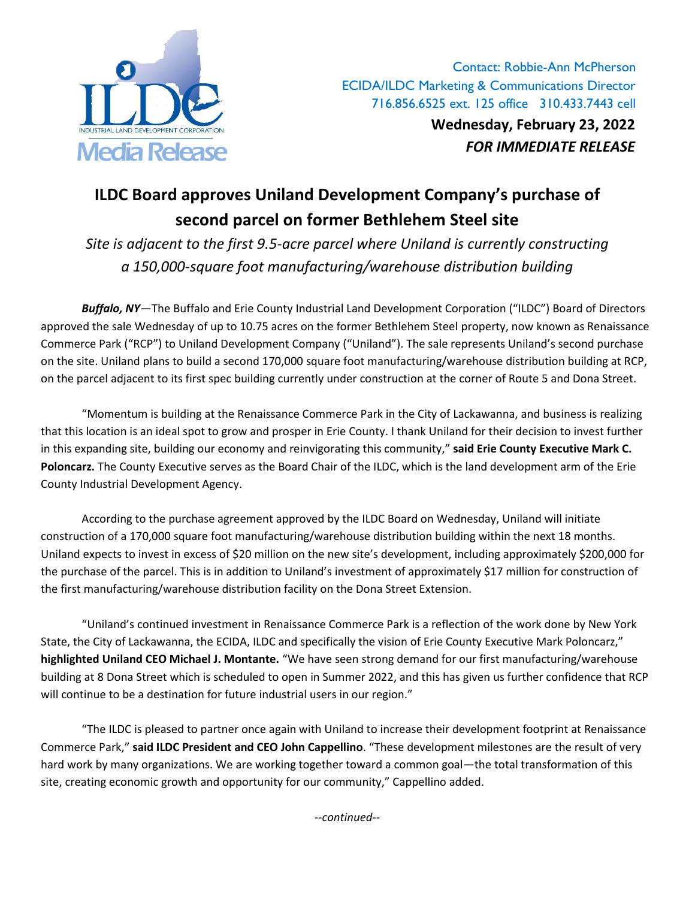

Contact: Robbie-Ann McPherson ECIDA/ILDC Marketing & Communications Director 716.856.6525 ext. 125 office 310.433.7443 cell **Wednesday, February 23, 2022** Media Release *FOR IMMEDIATE RELEASE*

## **ILDC Board approves Uniland Development Company's purchase of second parcel on former Bethlehem Steel site**

*Site is adjacent to the first 9.5-acre parcel where Uniland is currently constructing a 150,000-square foot manufacturing/warehouse distribution building* 

*Buffalo, NY*—The Buffalo and Erie County Industrial Land Development Corporation ("ILDC") Board of Directors approved the sale Wednesday of up to 10.75 acres on the former Bethlehem Steel property, now known as Renaissance Commerce Park ("RCP") to Uniland Development Company ("Uniland"). The sale represents Uniland's second purchase on the site. Uniland plans to build a second 170,000 square foot manufacturing/warehouse distribution building at RCP, on the parcel adjacent to its first spec building currently under construction at the corner of Route 5 and Dona Street.

"Momentum is building at the Renaissance Commerce Park in the City of Lackawanna, and business is realizing that this location is an ideal spot to grow and prosper in Erie County. I thank Uniland for their decision to invest further in this expanding site, building our economy and reinvigorating this community," **said Erie County Executive Mark C. Poloncarz.** The County Executive serves as the Board Chair of the ILDC, which is the land development arm of the Erie County Industrial Development Agency.

According to the purchase agreement approved by the ILDC Board on Wednesday, Uniland will initiate construction of a 170,000 square foot manufacturing/warehouse distribution building within the next 18 months. Uniland expects to invest in excess of \$20 million on the new site's development, including approximately \$200,000 for the purchase of the parcel. This is in addition to Uniland's investment of approximately \$17 million for construction of the first manufacturing/warehouse distribution facility on the Dona Street Extension.

"Uniland's continued investment in Renaissance Commerce Park is a reflection of the work done by New York State, the City of Lackawanna, the ECIDA, ILDC and specifically the vision of Erie County Executive Mark Poloncarz," **highlighted Uniland CEO Michael J. Montante.** "We have seen strong demand for our first manufacturing/warehouse building at 8 Dona Street which is scheduled to open in Summer 2022, and this has given us further confidence that RCP will continue to be a destination for future industrial users in our region."

"The ILDC is pleased to partner once again with Uniland to increase their development footprint at Renaissance Commerce Park," **said ILDC President and CEO John Cappellino**. "These development milestones are the result of very hard work by many organizations. We are working together toward a common goal—the total transformation of this site, creating economic growth and opportunity for our community," Cappellino added.

*--continued--*